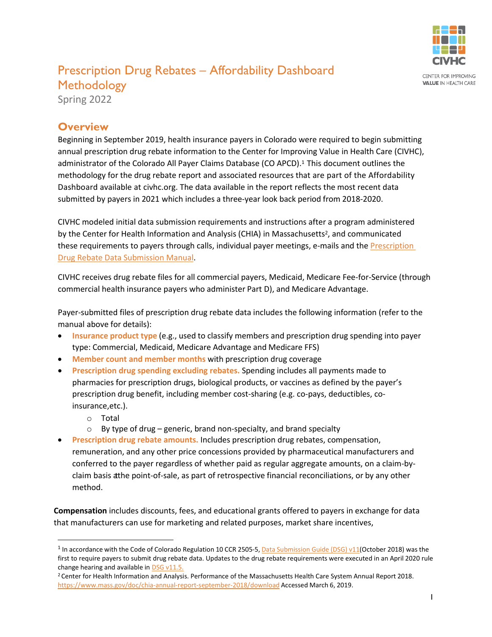

## Prescription Drug Rebates – Affordability Dashboard **Methodology**

Spring 2022

## **Overview**

Beginning in September 2019, health insurance payers in Colorado were required to begin submitting annual prescription drug rebate information to the Center for Improving Value in Health Care (CIVHC), administrator of the Colorado All Payer Claims Database (CO APCD).<sup>1</sup> This document outlines the methodology for the drug rebate report and associated resources that are part of the Affordability Dashboard available at civhc.org. The data available in the report reflects the most recent data submitted by payers in 2021 which includes a three-year look back period from 2018-2020.

CIVHC modeled initial data submission requirements and instructions after a program administered by the Center for Health Information and Analysis (CHIA) in Massachusetts<sup>2</sup>, and communicated these requirements to payers through calls, individual payer meetings, e-mails and the Prescription [Drug](https://www.civhc.org/wp-content/uploads/2020/10/Colorado-APCD-2020-Drug-Rebate-Data-Submission-Manual_09.08.2020.pdf) Rebate Data Submission Manua[l.](https://www.civhc.org/wp-content/uploads/2020/10/Colorado-APCD-2020-Drug-Rebate-Data-Submission-Manual_09.08.2020.pdf)

CIVHC receives drug rebate files for all commercial payers, Medicaid, Medicare Fee-for-Service (through commercial health insurance payers who administer Part D), and Medicare Advantage.

Payer-submitted files of prescription drug rebate data includes the following information (refer to the manual above for details):

- **Insurance product type** (e.g., used to classify members and prescription drug spending into payer type: Commercial, Medicaid, Medicare Advantage and Medicare FFS)
- **Member count and member months** with prescription drug coverage
- **Prescription drug spending excluding rebates.** Spending includes all payments made to pharmacies for prescription drugs, biological products, or vaccines as defined by the payer's prescription drug benefit, including member cost-sharing (e.g. co-pays, deductibles, coinsurance,etc.).
	- o Total
	- $\circ$  By type of drug generic, brand non-specialty, and brand specialty
- **Prescription drug rebate amounts.** Includes prescription drug rebates, compensation, remuneration, and any other price concessions provided by pharmaceutical manufacturers and conferred to the payer regardless of whether paid as regular aggregate amounts, on a claim-byclaim basis atthe point-of-sale, as part of retrospective financial reconciliations, or by any other method.

**Compensation** includes discounts, fees, and educational grants offered to payers in exchange for data that manufacturers can use for marketing and related purposes, market share incentives,

<sup>&</sup>lt;sup>1</sup> In accordance with the Code of Colorado Regulation 10 CCR 2505-5, Data [Submission Guide](https://www.civhc.org/wp-content/uploads/2020/02/Data-Submission-Guide-DSG-v-11_12.26.19.pdf) (DSG) v11(October 2018) was the first to require payers to submit drug rebate data. Updates to the drug rebate requirements were executed in an April 2020 rule change hearing and available in [DSG v11.5.](https://www.civhc.org/wp-content/uploads/2020/06/Data-Submission-Guide-DSG-v-11.5_5.30.20.pdf)

<sup>&</sup>lt;sup>2</sup> Center for Health Information and Analysis. Performance of the Massachusetts Health Care System Annual Report 2018. <https://www.mass.gov/doc/chia-annual-report-september-2018/download> Accessed March 6, 2019.